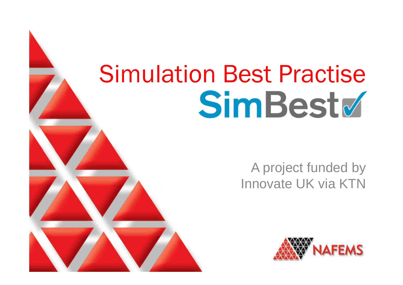# Simulation Best PractiseSimBest

**NAFEMS. The International Association for the Engineering Analysis CommunityFETraining - Your Partner in FEA Training and Consultancy www.fetraining.com**

#### A project funded by Innovate UK via KTN

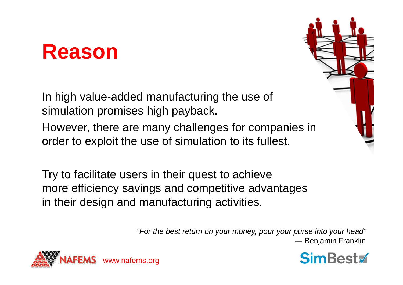### **Reason**

In high value-added manufacturing the use of simulation promises high payback.

However, there are many challenges for companies in order to exploit the use of simulation to its fullest.

Try to facilitate users in their quest to achieve more efficiency savings and competitive advantages in their design and manufacturing activities.

> "For the best return on your money, pour your purse into your head"― Benjamin Franklin





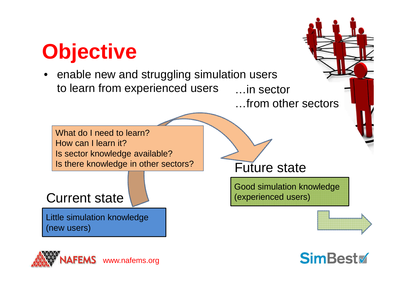### **Objective**

 • enable new and struggling simulation users to learn from experienced users …in sector

…from other sectors

What do I need to learn? How can I learn it? Is sector knowledge available?Is there knowledge in other sectors?

Current state

Little simulation knowledge(new users)



Good simulation knowledge(experienced users)





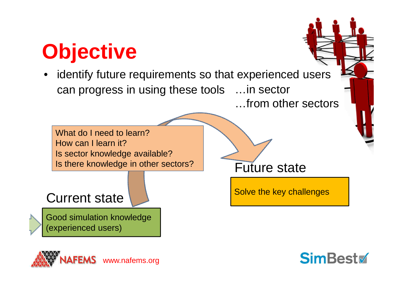### **Objective**

 identify future requirements so that experienced users •can progress in using these tools…in sector

…from other sectors

Solve the key challenges

Future state

What do I need to learn? How can I learn it? Is sector knowledge available?Is there knowledge in other sectors?

#### Current state

Good simulation knowledge(experienced users)



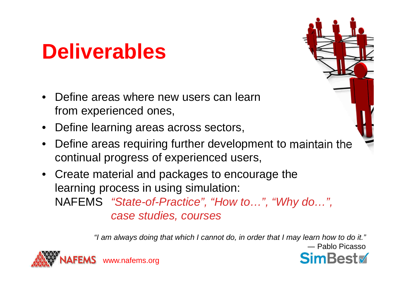### **Deliverables**

- • Define areas where new users can learn from experienced ones,
- •Define learning areas across sectors,
- $\bullet$  Define areas requiring further development to maintain the continual progress of experienced users,
- Create material and packages to encourage the learning process in using simulation:NAFEMS "State-of-Practice", "How to...", "Why do...", case studies, courses

"I am always doing that which I cannot do, in order that I may learn how to do it."― Pablo Picasso

SimBest

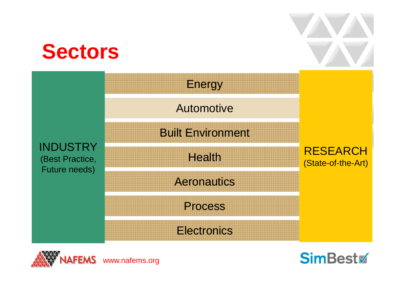### **Sectors**







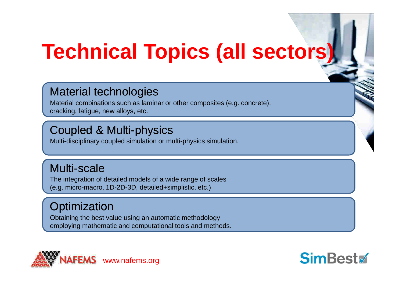### **Technical Topics (all sectors)**

#### Material technologies

 Material combinations such as laminar or other composites (e.g. concrete), cracking, fatigue, new alloys, etc.

#### Coupled & Multi-physics

Multi-disciplinary coupled simulation or multi-physics simulation.

#### Multi-scale

 The integration of detailed models of a wide range of scales (e.g. micro-macro, 1D-2D-3D, detailed+simplistic, etc.)

#### **Optimization**

 Obtaining the best value using an automatic methodology employing mathematic and computational tools and methods.



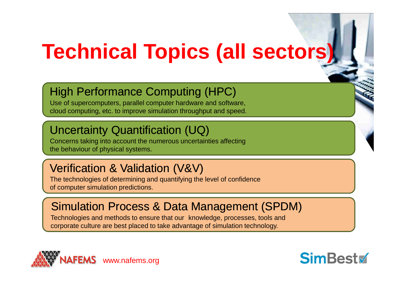## **Technical Topics (all sectors)**

#### High Performance Computing (HPC)

 Use of supercomputers, parallel computer hardware and software, cloud computing, etc. to improve simulation throughput and speed.

#### Uncertainty Quantification (UQ)

 Concerns taking into account the numerous uncertainties affecting the behaviour of physical systems.

#### Verification & Validation (V&V)

 The technologies of determining and quantifying the level of confidence of computer simulation predictions.

#### Simulation Process & Data Management (SPDM)

Technologies and methods to ensure that our knowledge, processes, tools and corporate culture are best placed to take advantage of simulation technology.



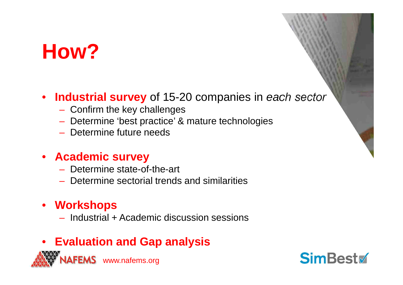### **How?**

#### $\bullet$ **Industrial survey** of 15-20 companies in each sector

- Confirm the key challenges
- Determine 'best practice' & mature technologies
- $-$  Determine future needs

#### • **Academic survey**

- Hatarmına etata<sub>-</sub>r - Determine state-of-the-art
- $-$  Determine sectorial trends and similarities

#### • **Workshops**

– Inductrial  $-$  Industrial + Academic discussion sessions

#### • **Evaluation and Gap analysis**



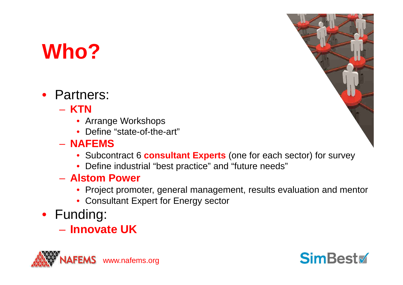### **Who?**

- Partners:
	- $\mathcal{L}_{\mathcal{A}}$  , and the set of the set of the set of the set of the set of the set of the set of the set of the set of the set of the set of the set of the set of the set of the set of the set of the set of the set of th – KTN
		- Arrange Workshops
		- Define "state-of-the-art"
	- $\mathcal{L}_{\mathcal{A}}$  , and the set of the set of the set of the set of the set of the set of the set of the set of the set of the set of the set of the set of the set of the set of the set of the set of the set of the set of th **NAFEMS**
		- Subcontract 6 **consultant Experts** (one for each sector) for survey
		- Define industrial "best practice" and "future needs"
	- $\mathcal{L}_{\mathcal{A}}$  , and the set of the set of the set of the set of the set of the set of the set of the set of the set of the set of the set of the set of the set of the set of the set of the set of the set of the set of th **Alstom Power**
		- Project promoter, general management, results evaluation and mentor
		- Consultant Expert for Energy sector
- Funding:
	- **Innovate UK**





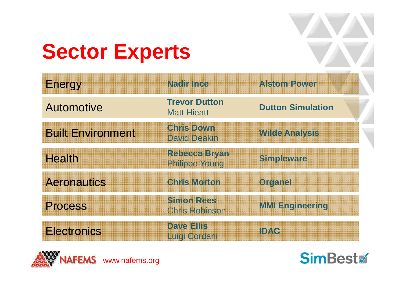### **Sector Experts**

| Energy                   | Nadir Ince                                  | <b>Alstom Power</b>      |
|--------------------------|---------------------------------------------|--------------------------|
| <b>Automotive</b>        | <b>Trevor Dutton</b><br><b>Matt Hieatt</b>  | <b>Dutton Simulation</b> |
| <b>Built Environment</b> | <b>Christ Down</b><br><b>David Deakin</b>   | Wilde Analysis           |
| <b>Health</b>            | Rebecca Bryan<br><b>Philippe Youne</b>      | Smpleware                |
| <b>Aeronautics</b>       | <b>Chis Motton</b>                          | <b>Orderner</b>          |
| <b>Process</b>           | <b>Simon Retes</b><br><b>Chris Robinson</b> | <b>MMLEngineering</b>    |
| <b>Electronics</b>       | Davelairs<br><b>Euro Cordeni</b>            | <b>IDAY</b>              |



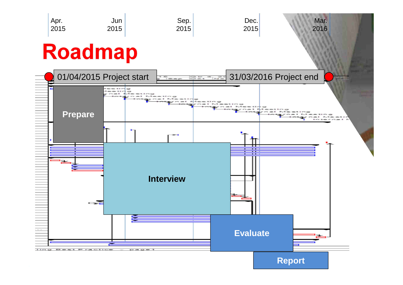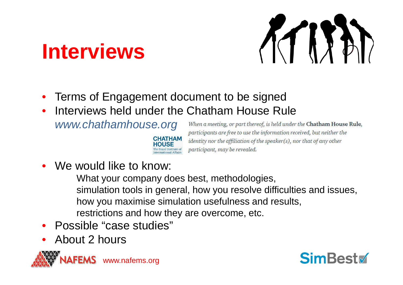### **Interviews**



- •Terms of Engagement document to be signed
- Interviews held under the Chatham House Rule •

CHATHAM

www.chathamhouse.org

When a meeting, or part thereof, is held under the Chatham House Rule, participants are free to use the information received, but neither the identity nor the affiliation of the speaker(s), nor that of any other participant, may be revealed.

•We would like to know:

What your company does best, methodologies, simulation tools in general, how you resolve difficulties and issues, how you maximise simulation usefulness and results,restrictions and how they are overcome, etc.

- •Possible "case studies"
- •About 2 hours



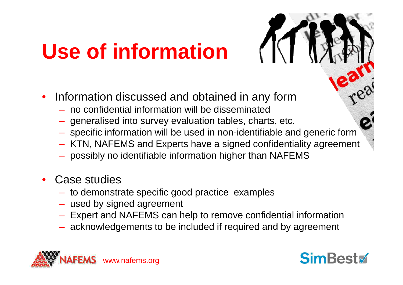## **Use of information**

- • Information discussed and obtained in any form
	- –no confidential information will be disseminated
	- generalised into survey evaluation tables, charts, etc.
	- specific information will be used in non-identifiable and generic form
	- A LIVETE MIN JIII EYHEIN JAVE JAHRILITIIII EHILJIIN JIHEEHE - KTN, NAFEMS and Experts have a signed confidentiality agreement
	- $-$  possibly no identifiable information higher than NAFEMS
- • Case studies
	- to damonel − to demonstrate specific good practice examples<br>− used by signed agreement
	- used by signed agreement
	- Expert and NAFEMS can help to remove confidential information
	- $-$  acknowledgements to be included if required and by agreement



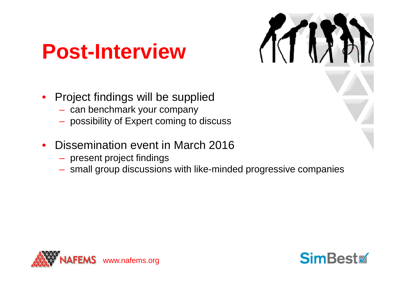### **Post-Interview**

- • Project findings will be supplied
	- can benchmark your company
	- $-$  possibility of Expert coming to discuss
- • Dissemination event in March 2016
	- present project findings
	- $-$  small group discussions with like-minded progressive companies



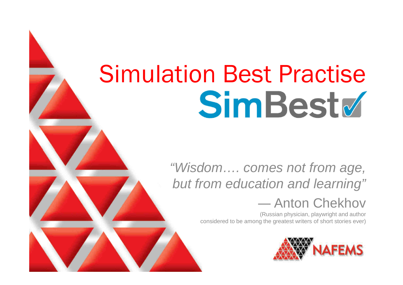# Simulation Best PractiseSimBest

**NAFEMS. The International Association for the Engineering Analysis CommunityFETraining - Your Partner in FEA Training and Consultancy www.fetraining.com**

#### "Wisdom…. comes not from age,but from education and learning"

### ― Anton Chekhov

 (Russian physician, playwright and author considered to be among the greatest writers of short stories ever)